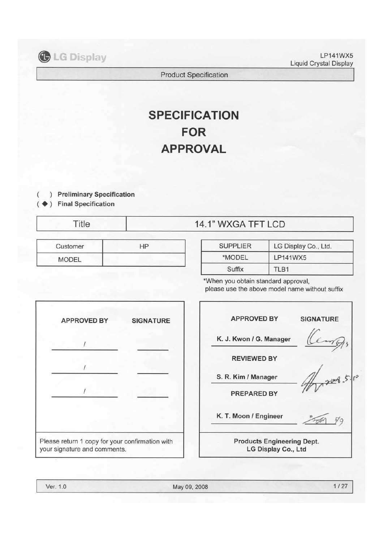

LP141WX5 Liquid Crystal Display

Product Specification

# **SPECIFICATION FOR APPROVAL**

) **Preliminary Specification**

◆ ) Final Specification

( (

| Customer | L I D |
|----------|-------|
| MODEL    |       |

### Title 14.1" WXGA TFT LCD

| <b>SUPPLIER</b> | LG Display Co., Ltd. |
|-----------------|----------------------|
| *MODEL          | LP141WX5             |
| Suffix          | <b>TI B1</b>         |

\*When you obtain standard approval, please use the above model name without suffix

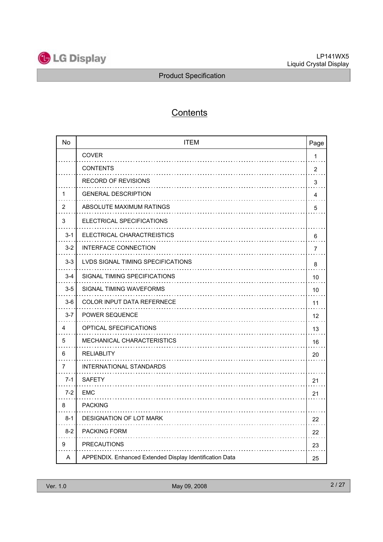

## **Contents**

| <b>No</b> | <b>ITEM</b>                                             | Page           |
|-----------|---------------------------------------------------------|----------------|
|           | <b>COVER</b>                                            | 1              |
|           | <b>CONTENTS</b><br>.                                    | $\overline{2}$ |
|           | <b>RECORD OF REVISIONS</b>                              | 3              |
| 1         | <b>GENERAL DESCRIPTION</b>                              | 4              |
| 2         | ABSOLUTE MAXIMUM RATINGS                                | 5              |
| 3         | ELECTRICAL SPECIFICATIONS                               |                |
| $3 - 1$   | ELECTRICAL CHARACTREISTICS                              | 6              |
| $3 - 2$   | INTERFACE CONNECTION                                    | 7              |
| $3-3$     | <b>LVDS SIGNAL TIMING SPECIFICATIONS</b>                | 8              |
| $3 - 4$   | SIGNAL TIMING SPECIFICATIONS                            | 10             |
| $3-5$     | SIGNAL TIMING WAVEFORMS                                 | 10             |
| $3-6$     | COLOR INPUT DATA REFERNECE                              | 11             |
| $3 - 7$   | POWER SEQUENCE                                          | 12             |
| 4         | OPTICAL SFECIFICATIONS                                  | 13             |
| 5         | MECHANICAL CHARACTERISTICS                              | 16             |
| 6         | <b>RELIABLITY</b>                                       | 20             |
| 7         | INTERNATIONAL STANDARDS                                 |                |
| $7 - 1$   | <b>SAFETY</b>                                           | 21             |
| $7 - 2$   | EMC                                                     | 21             |
| 8         | <b>PACKING</b>                                          |                |
| $8 - 1$   | DESIGNATION OF LOT MARK                                 | 22             |
| $8 - 2$   | <b>PACKING FORM</b>                                     | 22             |
| 9         | <b>PRECAUTIONS</b>                                      | 23             |
| Α         | APPENDIX. Enhanced Extended Display Identification Data | 25             |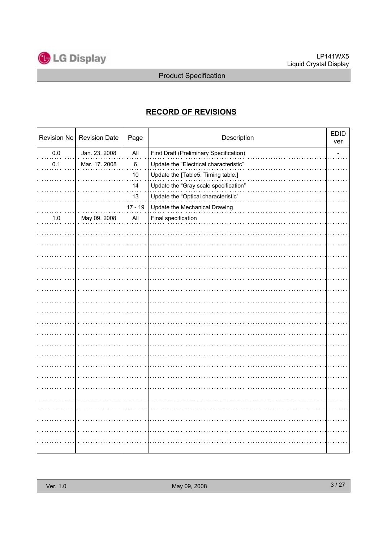

### **RECORD OF REVISIONS**

|         | Revision No   Revision Date | Page           | Description                                    | <b>EDID</b><br>ver |
|---------|-----------------------------|----------------|------------------------------------------------|--------------------|
| $0.0\,$ | Jan. 23. 2008               | All            | <b>First Draft (Preliminary Specification)</b> |                    |
| 0.1     | Mar. 17. 2008               | $\,6\,$        | Update the "Electrical characteristic"         |                    |
|         |                             | 10             | Update the [Table5. Timing table.]             |                    |
|         |                             | 14             | Update the "Gray scale specification"          |                    |
|         |                             | 13             | Update the "Optical characteristic"            |                    |
|         |                             | $17 - 19$      | Update the Mechanical Drawing                  |                    |
| 1.0     | May 09. 2008                | $\mathsf{All}$ | Final specification                            |                    |
|         |                             |                |                                                |                    |
|         |                             |                |                                                |                    |
|         |                             |                |                                                |                    |
|         |                             |                |                                                |                    |
|         |                             |                |                                                |                    |
|         |                             |                |                                                |                    |
|         |                             |                |                                                |                    |
|         |                             |                |                                                |                    |
|         |                             |                |                                                |                    |
|         |                             |                |                                                |                    |
|         |                             |                |                                                |                    |
|         |                             |                |                                                |                    |
|         |                             |                |                                                |                    |
|         |                             |                |                                                |                    |
|         |                             |                |                                                |                    |
|         |                             |                |                                                |                    |
|         |                             |                |                                                |                    |
|         |                             |                |                                                |                    |
|         |                             |                |                                                |                    |
|         |                             |                |                                                |                    |
|         |                             |                |                                                |                    |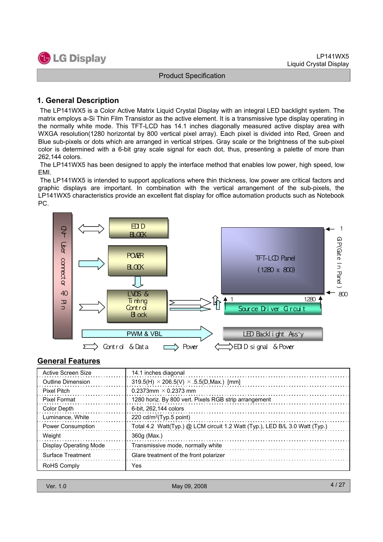

#### **1. General Description**

The LP141WX5 is a Color Active Matrix Liquid Crystal Display with an integral LED backlight system. The matrix employs a-Si Thin Film Transistor as the active element. It is a transmissive type display operating in the normally white mode. This TFT-LCD has 14.1 inches diagonally measured active display area with WXGA resolution(1280 horizontal by 800 vertical pixel array). Each pixel is divided into Red, Green and Blue sub-pixels or dots which are arranged in vertical stripes. Gray scale or the brightness of the sub-pixel color is determined with a 6-bit gray scale signal for each dot, thus, presenting a palette of more than 262,144 colors.

The LP141WX5 has been designed to apply the interface method that enables low power, high speed, low EMI.

The LP141WX5 is intended to support applications where thin thickness, low power are critical factors and graphic displays are important. In combination with the vertical arrangement of the sub-pixels, the LP141WX5 characteristics provide an excellent flat display for office automation products such as Notebook PC.



#### **General Features**

| Active Screen Size            | 14.1 inches diagonal                                                        |
|-------------------------------|-----------------------------------------------------------------------------|
| Outline Dimension             | 319.5(H) $\times$ 206.5(V) $\times$ .5.5(D, Max.) [mm]                      |
| <b>Pixel Pitch</b>            | 0.2373mm $\times$ 0.2373 mm                                                 |
| <b>Pixel Format</b>           | 1280 horiz. By 800 vert. Pixels RGB strip arrangement                       |
| Color Depth                   | 6-bit. 262,144 colors                                                       |
| Luminance, White              | 220 $cd/m^2$ (Typ.5 point)                                                  |
| <b>Power Consumption</b>      | Total 4.2 Watt(Typ.) @ LCM circuit 1.2 Watt (Typ.), LED B/L 3.0 Watt (Typ.) |
| Weight                        | 360g (Max.)                                                                 |
| <b>Display Operating Mode</b> | Transmissive mode, normally white                                           |
| Surface Treatment             | Glare treatment of the front polarizer                                      |
| <b>RoHS Comply</b>            | Yes                                                                         |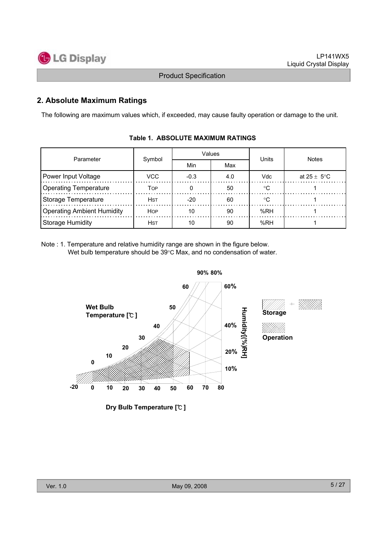

#### **2. Absolute Maximum Ratings**

The following are maximum values which, if exceeded, may cause faulty operation or damage to the unit.

| Parameter                         |             |        | Values | Units | <b>Notes</b>            |  |  |
|-----------------------------------|-------------|--------|--------|-------|-------------------------|--|--|
|                                   | Symbol      | Min    | Max    |       |                         |  |  |
| Power Input Voltage               | VCC         | $-0.3$ | 4.0    | Vdc   | at $25 \pm 5^{\circ}$ C |  |  |
| <b>Operating Temperature</b>      | TOP         |        | 50     |       |                         |  |  |
| Storage Temperature               | <b>HST</b>  | $-20$  | 60     |       |                         |  |  |
| <b>Operating Ambient Humidity</b> | <b>HOP</b>  | 10     | 90     | %RH   |                         |  |  |
| Storage Humidity                  | <b>H</b> st |        | 90     | %RH   |                         |  |  |

#### **Table 1. ABSOLUTE MAXIMUM RATINGS**

Note : 1. Temperature and relative humidity range are shown in the figure below. Wet bulb temperature should be  $39^{\circ}$ C Max, and no condensation of water.



**Dry Bulb Temperature [**℃ **]**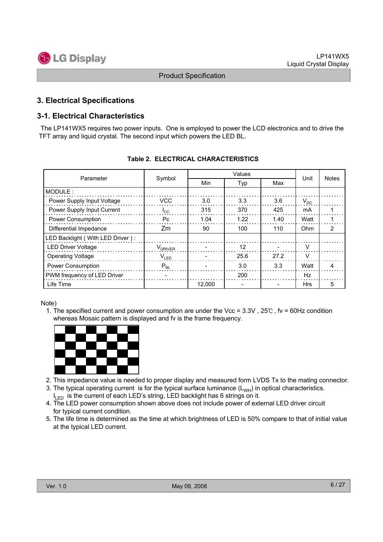

#### **3. Electrical Specifications**

#### **3-1. Electrical Characteristics**

The LP141WX5 requires two power inputs. One is employed to power the LCD electronics and to drive the TFT array and liquid crystal. The second input which powers the LED BL.

| Parameter                           | Symbol              |        | Unit | <b>Notes</b> |            |                |  |
|-------------------------------------|---------------------|--------|------|--------------|------------|----------------|--|
|                                     |                     | Min    | Typ  | Max          |            |                |  |
| MODULE:                             |                     |        |      |              |            |                |  |
| Power Supply Input Voltage          | <b>VCC</b>          | 3.0    | 3.3  | 3.6          | $V_{DC}$   |                |  |
| Power Supply Input Current          | $I_{\rm CC}$        | 315    | 370  | 425          | mA         |                |  |
| <b>Power Consumption</b>            | Pc                  | 1.04   | 1.22 | 1.40         | Watt       |                |  |
| Differential Impedance              | Zm                  | 90     | 100  | 110          | Ohm        | $\overline{2}$ |  |
| LED Backlight ( With LED Driver ) : |                     |        |      |              |            |                |  |
| <b>LED Driver Voltage</b>           | V <sub>DRIVER</sub> |        | 12   |              | v          |                |  |
| <b>Operating Voltage</b>            | $V_{LED}$           |        | 25.6 | 27.2         | V          |                |  |
| <b>Power Consumption</b>            | $P_{BL}$            |        | 3.0  | 3.3          | Watt       | 4              |  |
| PWM frequency of LED Driver         |                     |        | 200  |              | Hz         |                |  |
| Life Time                           |                     | 12.000 |      |              | <b>Hrs</b> | 5              |  |

#### **Table 2. ELECTRICAL CHARACTERISTICS**

#### Note)

1. The specified current and power consumption are under the Vcc = 3.3V , 25℃ , fv = 60Hz condition whereas Mosaic pattern is displayed and fv is the frame frequency.



- 2. This impedance value is needed to proper display and measured form LVDS Tx to the mating connector.
- 3. The typical operating current is for the typical surface luminance  $(L_{WH})$  in optical characteristics.  $I_{LED}$  is the current of each LED's string, LED backlight has 6 strings on it.
- 4. The LED power consumption shown above does not include power of external LED driver circuit for typical current condition.
- 5. The life time is determined as the time at which brightness of LED is 50% compare to that of initial value at the typical LED current.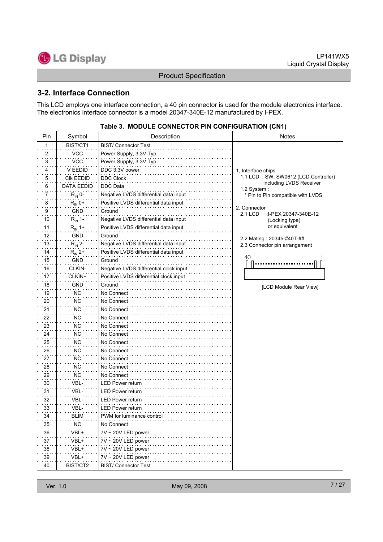LP141WX5 Liquid Crystal Display



Product Specification

#### **3-2. Interface Connection**

This LCD employs one interface connection, a 40 pin connector is used for the module electronics interface. The electronics interface connector is a model 20347-340E-12 manufactured by I-PEX.

| Pin                        | Symbol             | Description                            | <b>Notes</b>                                           |
|----------------------------|--------------------|----------------------------------------|--------------------------------------------------------|
| 1                          | BIST/CT1           | <b>BIST/ Connector Test</b>            |                                                        |
| 2                          | <b>VCC</b>         | Power Supply, 3.3V Typ.                |                                                        |
| 3                          | <b>VCC</b>         | Power Supply, 3.3V Typ.                |                                                        |
| 4                          | V EEDID            | DDC 3.3V power                         | 1. Interface chips                                     |
| 5                          | CIK EEDID          | <b>DDC Clock</b>                       | 1.1 LCD: SW, SW0612 (LCD Controller)                   |
| 6                          | <b>DATA EEDID</b>  | <b>DDC</b> Data                        | including LVDS Receiver<br>1.2 System:                 |
| 7                          | $R_{IN}$ 0-        | Negative LVDS differential data input  | * Pin to Pin compatible with LVDS                      |
| 8                          | $R_{IN}$ 0+        | Positive LVDS differential data input  |                                                        |
| 9                          | <b>GND</b>         | Ground                                 | 2. Connector<br><b>2.1 LCD</b><br>:I-PEX 20347-340E-12 |
| 10                         | $R_{IN}$ 1-        | Negative LVDS differential data input  | (Locking type)                                         |
| 11                         | $R_{IN}$ 1+        | Positive LVDS differential data input  | or equivalent                                          |
| 12                         | GND                | Ground                                 | 2.2 Mating: 20345-#40T-##                              |
| 13                         | $R_{\text{IN}}$ 2- | Negative LVDS differential data input  | 2.3 Connector pin arrangement                          |
| 14                         | $R_{IN}$ 2+        | Positive LVDS differential data input  |                                                        |
| 15                         | <b>GND</b>         | Ground                                 | 40                                                     |
| 16                         | CLKIN-             | Negative LVDS differential clock input |                                                        |
| 17                         | CLKIN+             | Positive LVDS differential clock input |                                                        |
| 18                         | <b>GND</b>         | Ground                                 | [LCD Module Rear View]                                 |
| 19                         | <b>NC</b>          | No Connect                             |                                                        |
| 20                         | <b>NC</b>          | No Connect                             |                                                        |
| 21                         | <b>NC</b>          | No Connect                             |                                                        |
| 22                         | <b>NC</b>          | No Connect                             |                                                        |
| 23                         | <b>NC</b>          | No Connect                             |                                                        |
| 24                         | ΝC                 | No Connect                             |                                                        |
| 25                         | ΝC                 | No Connect                             |                                                        |
| 26                         | ΝC                 | No Connect                             |                                                        |
| 27                         | <b>NC</b>          | No Connect                             |                                                        |
| 28                         | <b>NC</b>          | No Connect                             |                                                        |
| 29                         | <b>NC</b>          | No Connect                             |                                                        |
| 30                         | VBL-               | LED Power return                       |                                                        |
| 31                         | VBL-               | <b>LED Power return</b>                |                                                        |
| 32                         | VBL-               | <b>LED Power return</b>                |                                                        |
| 33                         | VBL-               | LED Power return                       |                                                        |
| 34                         | BLIM               | PWM for luminance control              |                                                        |
| $\sim$ $\sim$ $\sim$<br>35 | <b>NC</b>          | No Connect                             |                                                        |
| 36                         | VBL+               | $7V \sim 20V$ LED power                |                                                        |
| 37                         | VBL+               | $7V \sim 20V$ LED power                |                                                        |
| 38                         | VBL+               | 7V ~ 20V LED power                     |                                                        |
| 39                         | VBL+               | 7V ~ 20V LED power                     |                                                        |
| 40                         | BIST/CT2           | <b>BIST/ Connector Test</b>            |                                                        |

#### **Table 3. MODULE CONNECTOR PIN CONFIGURATION (CN1)**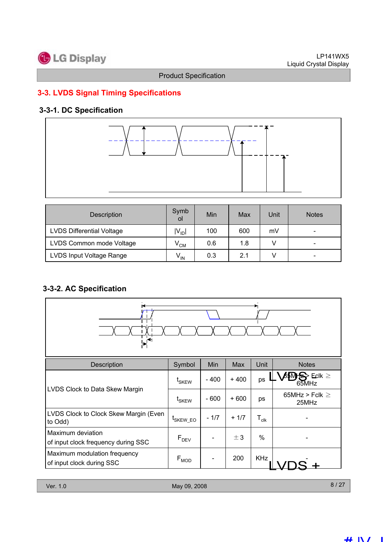

### **3-3. LVDS Signal Timing Specifications**

### **3-3-1. DC Specification**



| Description                      | Symb<br>οl        | Min | Max | Unit | <b>Notes</b> |
|----------------------------------|-------------------|-----|-----|------|--------------|
| <b>LVDS Differential Voltage</b> | $ V_{ID} $        | 100 | 600 | mV   |              |
| LVDS Common mode Voltage         | $V^{\text{CM}}$   | 0.6 | 1.8 |      | -            |
| LVDS Input Voltage Range         | $V_{\mathsf{IN}}$ | 0.3 | 2.1 |      | -            |

### **3-3-2. AC Specification**



| Description                                               | Symbol               | Min    | Max    | Unit             | <b>Notes</b>                 |
|-----------------------------------------------------------|----------------------|--------|--------|------------------|------------------------------|
|                                                           | t <sub>SKEW</sub>    | $-400$ | $+400$ | ps               | $\text{Eck} \geq$<br>65MHz   |
| LVDS Clock to Data Skew Margin                            | t <sub>SKEW</sub>    | $-600$ | $+600$ | ps               | 65MHz > Fclk $\geq$<br>25MHz |
| LVDS Clock to Clock Skew Margin (Even<br>to Odd)          | <sup>I</sup> SKEW EO | $-1/7$ | $+1/7$ | $T_{\text{clk}}$ |                              |
| Maximum deviation<br>of input clock frequency during SSC  | $F_{DEV}$            |        | ± 3    | $\%$             |                              |
| Maximum modulation frequency<br>of input clock during SSC | $F_{MOD}$            |        | 200    | <b>KHz</b>       |                              |

8 / 27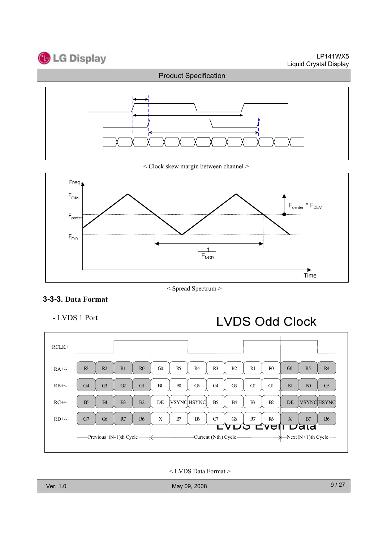



< Clock skew margin between channel >



#### < Spread Spectrum >

#### **3-3-3. Data Format**

- LVDS 1 Port

## **LVDS Odd Clock**



< LVDS Data Format >

Ver. 1.0 May 09, 2008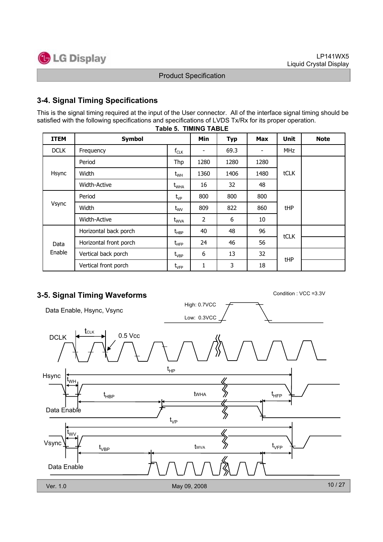

#### **3-4. Signal Timing Specifications**

This is the signal timing required at the input of the User connector. All of the interface signal timing should be satisfied with the following specifications and specifications of LVDS Tx/Rx for its proper operation.

| <b>ITEM</b> | <b>Symbol</b>          |                                  | Min                      | <b>Typ</b> | <b>Max</b>               | <b>Unit</b> | <b>Note</b> |
|-------------|------------------------|----------------------------------|--------------------------|------------|--------------------------|-------------|-------------|
| <b>DCLK</b> | Frequency              | $f_{CLK}$                        | $\overline{\phantom{a}}$ | 69.3       | $\overline{\phantom{a}}$ | <b>MHz</b>  |             |
|             | Period                 | Thp                              | 1280                     | 1280       | 1280                     |             |             |
| Hsync       | Width                  | $t_{WH}$                         | 1360                     | 1406       | 1480                     | tCLK        |             |
|             | <b>Width-Active</b>    | $t_{\text{WHA}}$                 | 16                       | 32         | 48                       |             |             |
| Vsync       | Period                 | $t_{VP}$                         | 800                      | 800        | 800                      |             |             |
|             | Width                  | $t_{\text{WV}}$                  | 809                      | 822        | 860                      | tHP         |             |
|             | Width-Active           | $t_{\text{WVA}}$                 | 2                        | 6          | 10                       |             |             |
|             | Horizontal back porch  | $t_{\sf HBP}$                    | 40                       | 48         | 96                       | tCLK        |             |
| Data        | Horizontal front porch | $t_{\scriptscriptstyle \rm HFP}$ | 24                       | 46         | 56                       |             |             |
| Enable      | Vertical back porch    | $t_{\rm VBP}$                    | 6                        | 13         | 32                       | tHP         |             |
|             | Vertical front porch   | $\rm t_{\rm VFP}$                | 1                        | 3          | 18                       |             |             |



### **3-5. Signal Timing Waveforms** Condition : VCC =3.3V

High: 0.7VCC Data Enable, Hsync, Vsync Low: 0.3VCC **t**clk  $DCLK$   $\leftarrow$   $\leftarrow$  0.5 Vcc t HP Hsync t WH  $\mathfrak{t}_{\text{\tiny{HBP}}}$  twha  $\gg$  t tWHA HBP HFP Data Enable ⋟ t VP t WV  $\bigotimes$ Vsync t VFP tWVA t VBP Data Enable 10 / 27 Ver. 1.0 May 09, 2008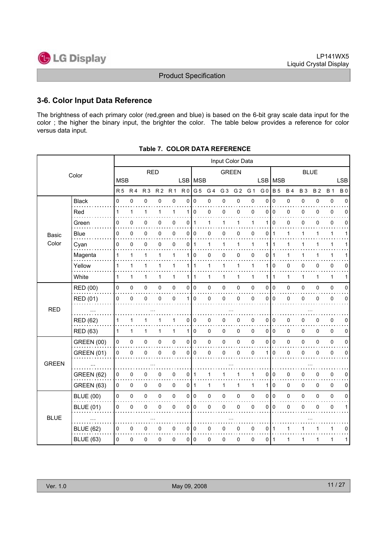

#### **3-6. Color Input Data Reference**

The brightness of each primary color (red,green and blue) is based on the 6-bit gray scale data input for the color ; the higher the binary input, the brighter the color. The table below provides a reference for color versus data input.

|              |                   |              |                |                |                |                     |                |                |                | Input Color Data |                |              |                |              |              |           |           |              |             |
|--------------|-------------------|--------------|----------------|----------------|----------------|---------------------|----------------|----------------|----------------|------------------|----------------|--------------|----------------|--------------|--------------|-----------|-----------|--------------|-------------|
|              | Color             |              |                | <b>RED</b>     |                |                     |                |                |                | <b>GREEN</b>     |                |              |                | <b>BLUE</b>  |              |           |           |              |             |
|              |                   | <b>MSB</b>   |                |                |                |                     |                | LSB   MSB      |                |                  |                |              | <b>LSB</b>     | <b>MSB</b>   |              |           |           |              | <b>LSB</b>  |
|              |                   | <b>R5</b>    | R <sub>4</sub> | R <sub>3</sub> | R <sub>2</sub> | R <sub>1</sub>      | R <sub>0</sub> | G <sub>5</sub> | G <sub>4</sub> | G <sub>3</sub>   | G <sub>2</sub> | G 1          | G <sub>0</sub> | <b>B</b> 5   | <b>B4</b>    | <b>B3</b> | <b>B2</b> | <b>B</b> 1   | <b>B0</b>   |
|              | <b>Black</b>      | 0            | 0              | 0              | 0              | $\pmb{0}$           | 0              | 0              | 0              | 0                | 0              | $\pmb{0}$    | 0              | $\mathbf 0$  | 0            | 0         | 0         | $\pmb{0}$    | $\mathbf 0$ |
|              | Red               | $\mathbf{1}$ | 1              | $\mathbf{1}$   | 1              | 1                   | 1              | $\mathbf 0$    | 0              | 0                | 0              | 0            | 0              | $\mathbf 0$  | 0            | 0         | 0         | $\mathbf 0$  | 0           |
|              | Green             | 0            | $\mathbf 0$    | 0              | 0              | $\mathbf 0$         | 0              | $\mathbf{1}$   | 1              | 1                | 1              | 1            | 1              | $\Omega$     | 0            | 0         | 0         | $\mathbf 0$  | $\Omega$    |
| <b>Basic</b> | Blue              | 0            | 0              | 0              | 0              | 0                   | $\mathbf{0}$   | 0              | 0              | 0                | 0              | 0            | 0              | $\mathbf{1}$ | 1            | 1         | 1         | $\mathbf{1}$ | 1           |
| Color        | Cyan              | 0            | 0              | 0              | 0              | $\mathbf 0$         | 0              | $\mathbf{1}$   | 1              | $\mathbf 1$      | 1              | 1            | 1              | 1            | $\mathbf{1}$ | 1         | 1         | 1            |             |
|              | Magenta           | 1            | 1              | 1              | 1              | $\mathbf{1}$        | 1              | $\Omega$       | 0              | $\mathbf 0$      | 0              | 0            | 0              | 1            | 1            | 1         | 1         | 1            |             |
|              | Yellow            | $\mathbf{1}$ | $\mathbf{1}$   | $\mathbf{1}$   | 1              | $\mathbf{1}$        |                | 111            | $\mathbf{1}$   | 1                | 1              | 1            | 1              | $\mathbf 0$  | 0            | 0         | 0         | $\pmb{0}$    | 0           |
|              | White             | 1            | $\mathbf{1}$   | 1              | 1              | $\mathbf{1}$        |                | $111$          | 1              | 1                | 1              | 1            | 1              | $\mathbf{1}$ | 1            | 1         | 1         | $\mathbf{1}$ | 1           |
|              | RED (00)          | $\pmb{0}$    | 0              | $\mathsf 0$    | 0              | $\pmb{0}$           |                | 0 0            | 0              | 0                | $\mathsf 0$    | 0            | 0              | l o          | 0            | 0         | 0         | $\pmb{0}$    | 0           |
|              | RED (01)          | $\mathsf 0$  | $\mathbf 0$    | 0              | 0              | $\mathbf 0$         | 1 I            | l 0            | 0              | 0                | 0              | 0            | 0              | ۱o           | 0            | 0         | 0         | $\mathbf 0$  | 0           |
| <b>RED</b>   |                   |              |                |                |                |                     |                |                |                |                  |                |              |                |              |              |           |           |              |             |
|              | <b>RED (62)</b>   | 1            | 1              | 1              |                | 1                   | 0              | 0              | 0              | 0                | 0              | 0            | 0              | 0            | 0            | 0         | 0         | $\mathbf 0$  | 0           |
|              | <b>RED (63)</b>   | $\mathbf{1}$ | $\mathbf{1}$   | 1              | 1              | $\mathbf{1}$        |                | 110            | 0              | 0                | 0              | $\mathbf{0}$ | 0              | l o          | $\pmb{0}$    | $\Omega$  | 0         | $\mathbf 0$  | 0           |
|              | <b>GREEN (00)</b> | 0            | 0              | 0              | 0              | $\pmb{0}$           |                | 0 0            | 0              | 0                | 0              | 0            | 0              | I٥           | 0            | 0         | 0         | $\pmb{0}$    | 0           |
|              | <b>GREEN (01)</b> | 0            | 0              | 0              | 0              | $\mathbf 0$         | $\overline{0}$ | $\mathbf 0$    | 0              | 0                | 0              | 0            | 1              | $\mathbf 0$  | 0            | 0         | 0         | $\pmb{0}$    | $\mathbf 0$ |
| <b>GREEN</b> |                   |              |                |                |                |                     |                |                |                |                  |                |              |                |              |              |           |           |              |             |
|              | <b>GREEN (62)</b> | 0            | 0              | 0              | 0              | 0                   | $\overline{0}$ | $\mathbf{1}$   | 1              | 1                | 1              | 1            | 0              | 0            | $\pmb{0}$    | 0         | 0         | $\pmb{0}$    | 0           |
|              | <b>GREEN (63)</b> | 0            | 0              | $\pmb{0}$      | 0              | 0                   |                | 011            | 1              | $\mathbf{1}$     | 1              | 1            | 1              | $\mathbf 0$  | 0            | 0         | 0         | $\mathbf 0$  | 0           |
|              | <b>BLUE (00)</b>  | 0            | 0              | $\mathsf 0$    | 0              | $\mathsf{O}\xspace$ |                | 0 0            | 0              | 0                | 0              | 0            | 0              | I٥           | 0            | 0         | 0         | $\pmb{0}$    | 0           |
|              | <b>BLUE (01)</b>  | 0            | $\mathbf 0$    | 0              | 0              | $\mathbf 0$         | 0              | $\Omega$       | 0              | 0                | 0              | 0            | 0              | $\Omega$     | 0            | 0         | 0         | $\pmb{0}$    | 1           |
| <b>BLUE</b>  |                   |              |                |                |                |                     |                |                |                |                  |                |              |                |              |              |           |           |              |             |
|              | <b>BLUE (62)</b>  | 0            | 0              | 0              | 0              | 0                   |                | 0 0            | 0              | 0                | 0              | 0            | 0              | $\mathbf 1$  | 1            | 1         | 1         | 1            | 0           |
|              | <b>BLUE (63)</b>  | 0            | 0              | 0              | 0              | $\pmb{0}$           |                | 0 0            | 0              | 0                | 0              | 0            | 0              | $\mathbf{1}$ | 1            | 1         | 1         | 1            | 1           |

**Table 7. COLOR DATA REFERENCE**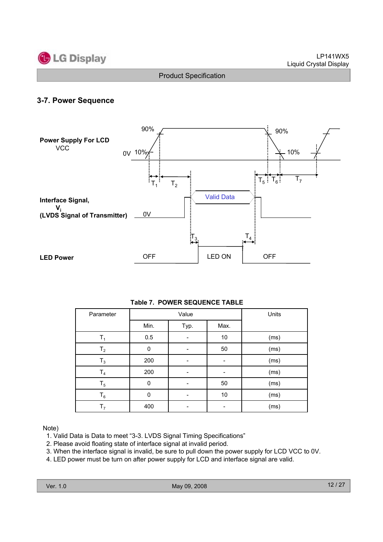

#### **3-7. Power Sequence**



| Parameter      |          | Value | Units |      |
|----------------|----------|-------|-------|------|
|                | Min.     | Typ.  | Max.  |      |
| T <sub>1</sub> | 0.5      |       | 10    | (ms) |
| T <sub>2</sub> | 0        |       | 50    | (ms) |
| $T_3$          | 200      |       |       | (ms) |
| T <sub>4</sub> | 200      |       |       | (ms) |
| $T_5$          | 0        |       | 50    | (ms) |
| $T_6$          | $\Omega$ |       | $10$  | (ms) |
| T <sub>7</sub> | 400      |       |       | (ms) |

Note)

- 1. Valid Data is Data to meet "3-3. LVDS Signal Timing Specifications"
- 2. Please avoid floating state of interface signal at invalid period.
- 3. When the interface signal is invalid, be sure to pull down the power supply for LCD VCC to 0V.
- 4. LED power must be turn on after power supply for LCD and interface signal are valid.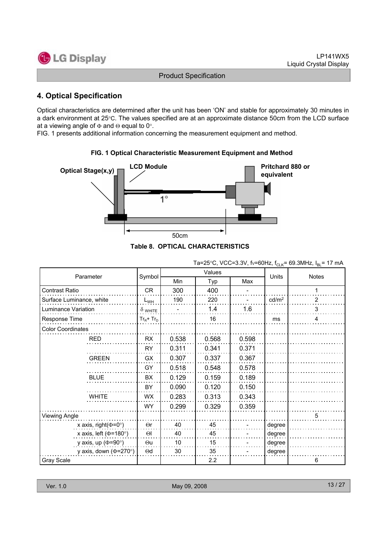

#### **4. Optical Specification**

Optical characteristics are determined after the unit has been 'ON' and stable for approximately 30 minutes in a dark environment at 25°C. The values specified are at an approximate distance 50cm from the LCD surface at a viewing angle of  $\Phi$  and  $\Theta$  equal to 0°.

FIG. 1 presents additional information concerning the measurement equipment and method.



#### **FIG. 1 Optical Characteristic Measurement Equipment and Method**

|  | e 8.  OPTICAL CHARACTERISTICS |  |
|--|-------------------------------|--|
|  |                               |  |

|                              |                |       | Values |       | ח∟טי י−           | ם י-         |  |
|------------------------------|----------------|-------|--------|-------|-------------------|--------------|--|
| Parameter                    | Symbol         | Min   | Typ    | Max   | Units             | <b>Notes</b> |  |
| Contrast Ratio               | <b>CR</b>      | 300   | 400    |       |                   |              |  |
| Surface Luminance, white     | $L_{WH}$       | 190   | 220    |       | cd/m <sup>2</sup> | 2            |  |
| Luminance Variation          | $\delta$ white |       | 1.4    | 1.6   |                   | 3            |  |
| Response Time                | $Tr_R + Tr_D$  |       | 16     |       | ms                | 4            |  |
| <b>Color Coordinates</b>     |                |       |        |       |                   |              |  |
| <b>RED</b>                   | RX             | 0.538 | 0.568  | 0.598 |                   |              |  |
|                              | <b>RY</b>      | 0.311 | 0.341  | 0.371 |                   |              |  |
| <b>GREEN</b>                 | GX             | 0.307 | 0.337  | 0.367 |                   |              |  |
|                              | GY             | 0.518 | 0.548  | 0.578 |                   |              |  |
| <b>BLUE</b>                  | BX             | 0.129 | 0.159  | 0.189 |                   |              |  |
|                              | BY             | 0.090 | 0.120  | 0.150 |                   |              |  |
| <b>WHITE</b>                 | WX             | 0.283 | 0.313  | 0.343 |                   |              |  |
|                              | <b>WY</b>      | 0.299 | 0.329  | 0.359 |                   |              |  |
| <b>Viewing Angle</b>         |                |       |        |       |                   | 5            |  |
| x axis, right( $\Phi$ =0°)   | $\Theta$ r     | 40    | 45     |       | degree            |              |  |
| x axis, left ( $\Phi$ =180°) | $\Theta$       | 40    | 45     |       | degree            |              |  |
| y axis, up ( $\Phi$ =90°)    | $\Theta$ u     | 10    | 15     |       | degree            |              |  |
| y axis, down ( $\Phi$ =270°) | $\Theta$ d     | 30    | 35     |       | degree            |              |  |
| Gray Scale                   |                |       | 2.2    |       |                   | 6            |  |

Ta=25°C, VCC=3.3V, fv=60Hz,  $f_{C-K}$ = 69.3MHz,  $I_{B}$  = 17 mA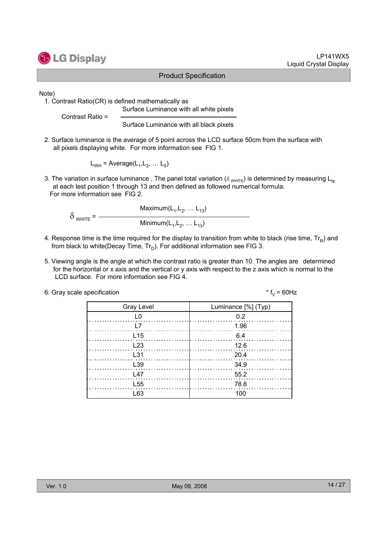

#### LP141WX5 Liquid Crystal Display

#### Product Specification

Note)

1. Contrast Ratio(CR) is defined mathematically as Surface Luminance with all white pixels

Contrast Ratio =

Surface Luminance with all black pixels

2. Surface luminance is the average of 5 point across the LCD surface 50cm from the surface with all pixels displaying white. For more information see FIG 1.

 $L_{WH}$  = Average( $L_1, L_2, \ldots L_5$ )

3. The variation in surface luminance, The panel total variation ( $\delta_{WHTE}$ ) is determined by measuring L<sub>N</sub> at each test position 1 through 13 and then defined as followed numerical formula. For more information see FIG 2.

Maximum $(L_1, L_2, ... L_{13})$  $\delta$  white =  $-$ Minimum( $L_1, L_2, ... L_{13}$ )

- 4. Response time is the time required for the display to transition from white to black (rise time,  $Tr_B$ ) and from black to white(Decay Time,  $Tr_D$ ). For additional information see FIG 3.
- 5. Viewing angle is the angle at which the contrast ratio is greater than 10. The angles are determined for the horizontal or x axis and the vertical or y axis with respect to the z axis which is normal to the LCD surface. For more information see FIG 4.

| 6. Gray scale specification | * $f_v = 60$ Hz |
|-----------------------------|-----------------|
|-----------------------------|-----------------|

| <b>Gray Level</b> | Luminance [%] (Typ) |
|-------------------|---------------------|
| L <sub>0</sub>    | 0.2                 |
|                   | $\frac{1.96}{1.06}$ |
| $\lfloor 15$      | - 6.4               |
| L23               | 12.6                |
| L <sub>31</sub>   | 20.4                |
| L <sub>39</sub>   | - 34.9              |
| $\sqrt{47}$       | 55.2                |
| L <sub>55</sub>   | 78.8                |
| l 63              | 100                 |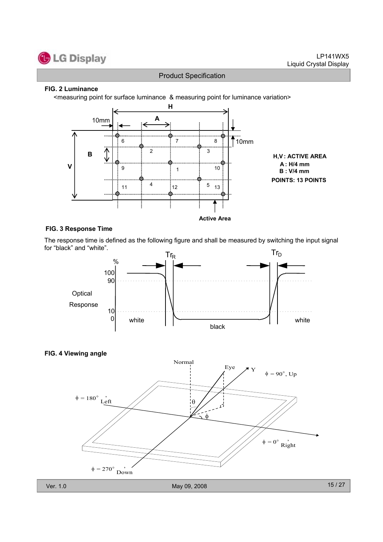

#### **FIG. 2 Luminance**

<measuring point for surface luminance & measuring point for luminance variation>



#### **FIG. 3 Response Time**

The response time is defined as the following figure and shall be measured by switching the input signal for "black" and "white".





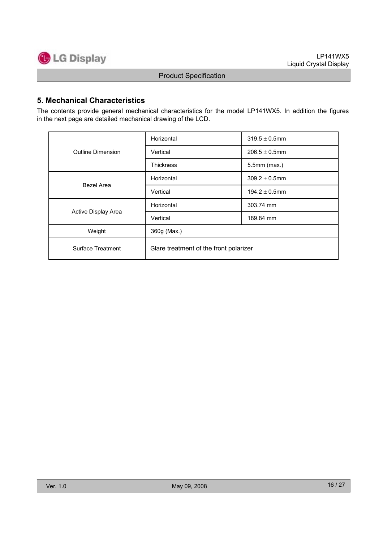

#### **5. Mechanical Characteristics**

The contents provide general mechanical characteristics for the model LP141WX5. In addition the figures in the next page are detailed mechanical drawing of the LCD.

|                     | Horizontal                             | $319.5 \pm 0.5$ mm |  |  |  |
|---------------------|----------------------------------------|--------------------|--|--|--|
| Outline Dimension   | Vertical                               | $206.5 \pm 0.5$ mm |  |  |  |
|                     | <b>Thickness</b>                       | $5.5$ mm $(max.)$  |  |  |  |
| Bezel Area          | Horizontal                             | $309.2 \pm 0.5$ mm |  |  |  |
|                     | Vertical                               | $194.2 \pm 0.5$ mm |  |  |  |
|                     | Horizontal                             | 303.74 mm          |  |  |  |
| Active Display Area | Vertical                               | 189.84 mm          |  |  |  |
| Weight              | 360g (Max.)                            |                    |  |  |  |
| Surface Treatment   | Glare treatment of the front polarizer |                    |  |  |  |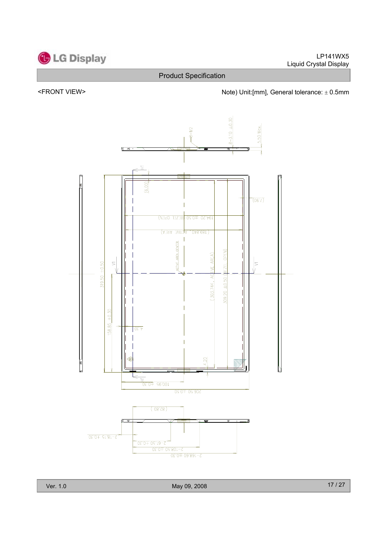

#### <FRONT VIEW>  $\blacksquare$  Note) Unit:[mm], General tolerance:  $\pm$  0.5mm



Ver. 1.0 May 09, 2008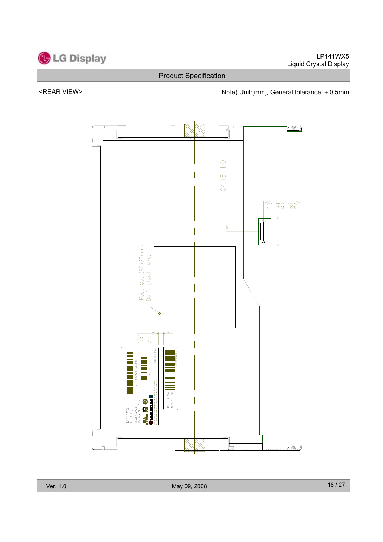

<REAR VIEW> Note) Unit:[mm], General tolerance:  $\pm$  0.5mm

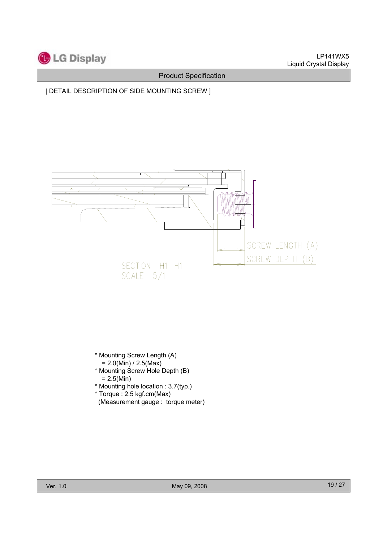

[ DETAIL DESCRIPTION OF SIDE MOUNTING SCREW ]



- \* Mounting Screw Length (A)  $= 2.0(Min) / 2.5(Max)$
- \* Mounting Screw Hole Depth (B)  $= 2.5(Min)$
- \* Mounting hole location : 3.7(typ.)
- \* Torque : 2.5 kgf.cm(Max)
- (Measurement gauge : torque meter)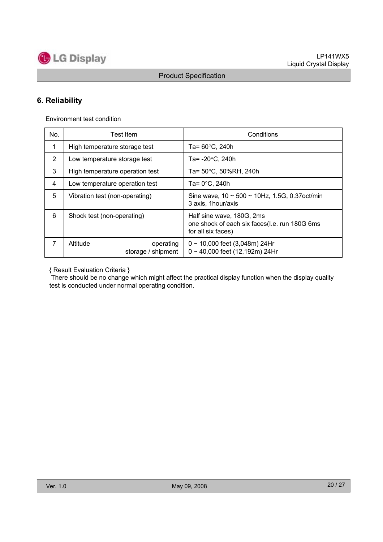

### **6. Reliability**

Environment test condition

| No.         | Test Item                                   | Conditions                                                                                       |
|-------------|---------------------------------------------|--------------------------------------------------------------------------------------------------|
| $\mathbf 1$ | High temperature storage test               | Ta= $60^{\circ}$ C, 240h                                                                         |
| 2           | Low temperature storage test                | Ta= $-20^{\circ}$ C, 240h                                                                        |
| 3           | High temperature operation test             | Ta= 50°C, 50%RH, 240h                                                                            |
| 4           | Low temperature operation test              | Ta= $0^{\circ}$ C. 240h                                                                          |
| 5           | Vibration test (non-operating)              | Sine wave, $10 \sim 500 \sim 10$ Hz, 1.5G, 0.37 oct/min<br>3 axis, 1hour/axis                    |
| 6           | Shock test (non-operating)                  | Half sine wave, 180G, 2ms<br>one shock of each six faces(I.e. run 180G 6ms<br>for all six faces) |
| 7           | Altitude<br>operating<br>storage / shipment | $0 \sim 10,000$ feet (3,048m) 24Hr<br>$0 \sim 40,000$ feet (12,192m) 24Hr                        |

{ Result Evaluation Criteria }

There should be no change which might affect the practical display function when the display quality test is conducted under normal operating condition.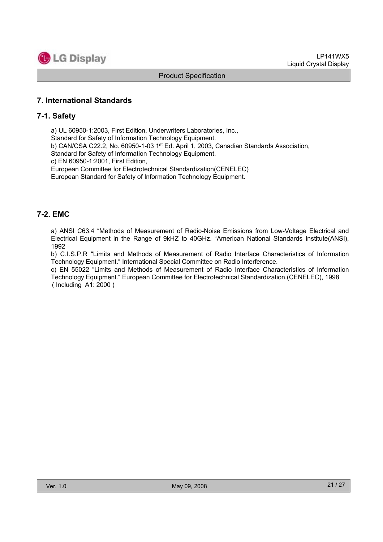

#### **7. International Standards**

#### **7-1. Safety**

a) UL 60950-1:2003, First Edition, Underwriters Laboratories, Inc., Standard for Safety of Information Technology Equipment. b) CAN/CSA C22.2, No. 60950-1-03 1st Ed. April 1, 2003, Canadian Standards Association, Standard for Safety of Information Technology Equipment. c) EN 60950-1:2001, First Edition, European Committee for Electrotechnical Standardization(CENELEC) European Standard for Safety of Information Technology Equipment.

#### **7-2. EMC**

a) ANSI C63.4 "Methods of Measurement of Radio-Noise Emissions from Low-Voltage Electrical and Electrical Equipment in the Range of 9kHZ to 40GHz. "American National Standards Institute(ANSI), 1992

b) C.I.S.P.R "Limits and Methods of Measurement of Radio Interface Characteristics of Information Technology Equipment." International Special Committee on Radio Interference.

c) EN 55022 "Limits and Methods of Measurement of Radio Interface Characteristics of Information Technology Equipment." European Committee for Electrotechnical Standardization.(CENELEC), 1998 ( Including A1: 2000 )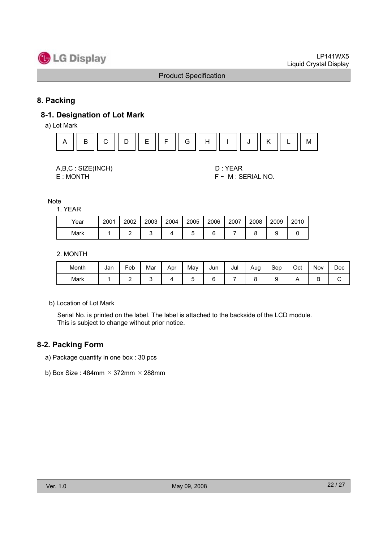

#### **8. Packing**

#### **8-1. Designation of Lot Mark**

a) Lot Mark



| A,B,C: SIZE(INCH) |
|-------------------|
| E : MONTH         |

D : YEAR  $F \sim M$  : SERIAL NO.

Note

1. YEAR

| Year | 2001 | 2002 | 2003 | 2004 | 2005 | 2006 | 2007 | 2008 | 2009 | 2010 |
|------|------|------|------|------|------|------|------|------|------|------|
| Mark |      |      |      |      |      |      |      |      |      |      |

#### 2. MONTH

| Month | Jan | -<br>Feb | Mar | Apr | May | Jun | Jul | Aug<br>◡ | Sep | Oct | Nov | Dec |
|-------|-----|----------|-----|-----|-----|-----|-----|----------|-----|-----|-----|-----|
| Mark  |     | -        |     |     |     | ∽   |     |          |     |     | ◡   | ີ   |

b) Location of Lot Mark

Serial No. is printed on the label. The label is attached to the backside of the LCD module. This is subject to change without prior notice.

#### **8-2. Packing Form**

- a) Package quantity in one box : 30 pcs
- b) Box Size:  $484$ mm  $\times$  372mm  $\times$  288mm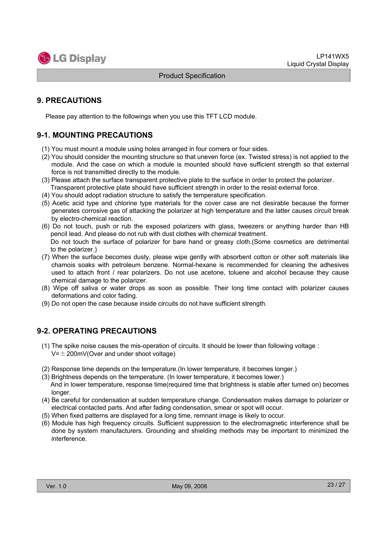

#### **9. PRECAUTIONS**

Please pay attention to the followings when you use this TFT LCD module.

#### **9-1. MOUNTING PRECAUTIONS**

- (1) You must mount a module using holes arranged in four corners or four sides.
- (2) You should consider the mounting structure so that uneven force (ex. Twisted stress) is not applied to the module. And the case on which a module is mounted should have sufficient strength so that external force is not transmitted directly to the module.
- (3) Please attach the surface transparent protective plate to the surface in order to protect the polarizer. Transparent protective plate should have sufficient strength in order to the resist external force.
- (4) You should adopt radiation structure to satisfy the temperature specification.
- (5) Acetic acid type and chlorine type materials for the cover case are not desirable because the former generates corrosive gas of attacking the polarizer at high temperature and the latter causes circuit break by electro-chemical reaction.
- (6) Do not touch, push or rub the exposed polarizers with glass, tweezers or anything harder than HB pencil lead. And please do not rub with dust clothes with chemical treatment. Do not touch the surface of polarizer for bare hand or greasy cloth.(Some cosmetics are detrimental
- to the polarizer.) (7) When the surface becomes dusty, please wipe gently with absorbent cotton or other soft materials like chamois soaks with petroleum benzene. Normal-hexane is recommended for cleaning the adhesives used to attach front / rear polarizers. Do not use acetone, toluene and alcohol because they cause
- chemical damage to the polarizer. (8) Wipe off saliva or water drops as soon as possible. Their long time contact with polarizer causes
- deformations and color fading.
- (9) Do not open the case because inside circuits do not have sufficient strength.

#### **9-2. OPERATING PRECAUTIONS**

- (1) The spike noise causes the mis-operation of circuits. It should be lower than following voltage :  $V=\pm 200$ mV(Over and under shoot voltage)
- (2) Response time depends on the temperature.(In lower temperature, it becomes longer.)
- (3) Brightness depends on the temperature. (In lower temperature, it becomes lower.) And in lower temperature, response time(required time that brightness is stable after turned on) becomes longer.
- (4) Be careful for condensation at sudden temperature change. Condensation makes damage to polarizer or electrical contacted parts. And after fading condensation, smear or spot will occur.
- (5) When fixed patterns are displayed for a long time, remnant image is likely to occur.
- (6) Module has high frequency circuits. Sufficient suppression to the electromagnetic interference shall be done by system manufacturers. Grounding and shielding methods may be important to minimized the interference.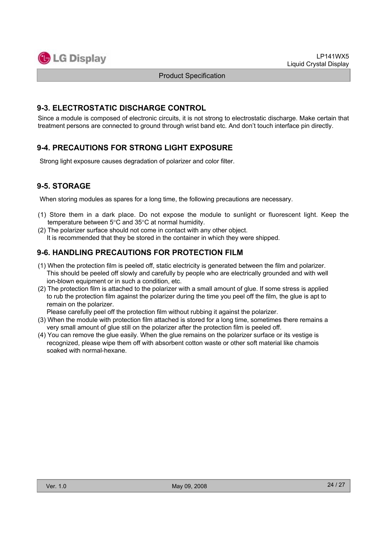

#### **9-3. ELECTROSTATIC DISCHARGE CONTROL**

Since a module is composed of electronic circuits, it is not strong to electrostatic discharge. Make certain that treatment persons are connected to ground through wrist band etc. And don't touch interface pin directly.

#### **9-4. PRECAUTIONS FOR STRONG LIGHT EXPOSURE**

Strong light exposure causes degradation of polarizer and color filter.

#### **9-5. STORAGE**

When storing modules as spares for a long time, the following precautions are necessary.

- (1) Store them in a dark place. Do not expose the module to sunlight or fluorescent light. Keep the temperature between  $5^{\circ}$ C and  $35^{\circ}$ C at normal humidity.
- (2) The polarizer surface should not come in contact with any other object. It is recommended that they be stored in the container in which they were shipped.

#### **9-6. HANDLING PRECAUTIONS FOR PROTECTION FILM**

- (1) When the protection film is peeled off, static electricity is generated between the film and polarizer. This should be peeled off slowly and carefully by people who are electrically grounded and with well ion-blown equipment or in such a condition, etc.
- (2) The protection film is attached to the polarizer with a small amount of glue. If some stress is applied to rub the protection film against the polarizer during the time you peel off the film, the glue is apt to remain on the polarizer.

Please carefully peel off the protection film without rubbing it against the polarizer.

- (3) When the module with protection film attached is stored for a long time, sometimes there remains a very small amount of glue still on the polarizer after the protection film is peeled off.
- (4) You can remove the glue easily. When the glue remains on the polarizer surface or its vestige is recognized, please wipe them off with absorbent cotton waste or other soft material like chamois soaked with normal-hexane.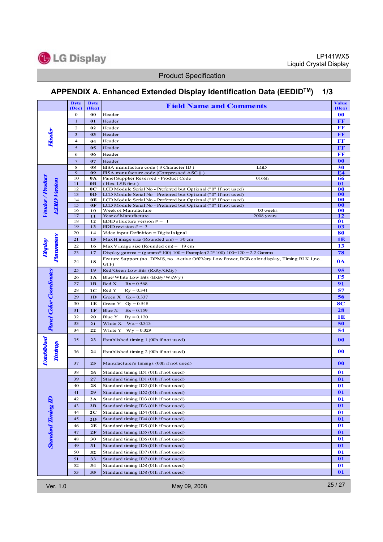

### **APPENDIX A. Enhanced Extended Display Identification Data (EEDIDTM) 1/3**

|                                      | <b>Byte</b>             | <b>Byte</b>          | <b>Field Name and Comments</b>                                                                                                     | <b>Value</b> |  |  |  |  |
|--------------------------------------|-------------------------|----------------------|------------------------------------------------------------------------------------------------------------------------------------|--------------|--|--|--|--|
|                                      | (Dec)<br>$\bf{0}$       | (Hex)<br>00          | Header                                                                                                                             | (Hex)<br>00  |  |  |  |  |
|                                      | $\mathbf{1}$            | 01                   | Header                                                                                                                             | $\bf FF$     |  |  |  |  |
|                                      | $\mathbf{2}$            | 02                   | Header                                                                                                                             | $\bf FF$     |  |  |  |  |
|                                      | $\overline{\mathbf{3}}$ | 03                   | Header                                                                                                                             | $\bf FF$     |  |  |  |  |
|                                      | 4                       | 04                   | Header                                                                                                                             | FF           |  |  |  |  |
|                                      | 5                       | 05                   | Header                                                                                                                             | $\bf FF$     |  |  |  |  |
|                                      | 6                       | 06                   | Header                                                                                                                             | $\bf FF$     |  |  |  |  |
|                                      | $\overline{7}$          | 07                   | Header                                                                                                                             | 00           |  |  |  |  |
|                                      | 8                       | 08                   | EISA manufacture code (3 Character ID)<br>LGD                                                                                      | 30           |  |  |  |  |
|                                      | 9<br>10                 | 09<br>0A             | EISA manufacture code (Compressed ASC    )<br>Panel Supplier Reserved - Product Code<br>0166h                                      | E4<br>66     |  |  |  |  |
|                                      | 11                      | 0 <sub>B</sub>       | (Hex LSB first)                                                                                                                    | 01           |  |  |  |  |
| Vendor/Product<br><b>EDID Vasion</b> | 12                      | 0C                   | LCD Module Serial No - Preferred but Optional ("0" If not used)                                                                    | 00           |  |  |  |  |
|                                      | 13                      | 0 <sub>D</sub>       | LCD Module Serial No - Preferred but Optional ("0" If not used)                                                                    | 00           |  |  |  |  |
|                                      | 14<br>15                | 0 <sub>E</sub><br>0F | LCD Module Serial No - Preferred but Optional ("0" If not used)<br>LCD Module Serial No - Preferred but Optional ("0" If not used) | 00<br>00     |  |  |  |  |
|                                      | 16                      | 10                   | Week of Manufacture<br>00 weeks                                                                                                    | 00           |  |  |  |  |
|                                      | 17                      | 11                   | Year of Manufacture<br>2008 years                                                                                                  | 12           |  |  |  |  |
|                                      | 18<br>19                | 12<br>13             | EDID structure version $# = 1$<br>EDID revision $# = 3$                                                                            | 01<br>03     |  |  |  |  |
|                                      | 20                      | 14                   | Video input Definition = Digital signal                                                                                            | 80           |  |  |  |  |
| Parameters                           | 21                      | 15                   | Max H image size (Rounded cm) = $30 \text{ cm}$                                                                                    | 1E           |  |  |  |  |
| Display                              | 22                      | 16                   | Max V image size (Rounded cm) = $19 \text{ cm}$                                                                                    | 13           |  |  |  |  |
|                                      | 23                      | 17                   | Display gamma = $(gamma*100)-100$ = Example: $(2.2*100)-100=120$ = 2.2 Gamma                                                       | 78           |  |  |  |  |
|                                      | 24                      | 18                   | Feature Support (no DPMS, no Active Off/Very Low Power, RGB color display, Timing BLK 1,no<br>GTF)                                 | 0A           |  |  |  |  |
|                                      | 25                      | 19                   | Red/Green Low Bits (RxRy/GxGy)                                                                                                     | 95           |  |  |  |  |
|                                      | 26                      | 1 A                  | Blue/White Low Bits (BxBy/WxWy)                                                                                                    | F5           |  |  |  |  |
|                                      | 27                      | 1B                   | Red X<br>$Rx = 0.568$                                                                                                              | 91           |  |  |  |  |
|                                      | 28                      | 1C                   | Red Y<br>$Ry = 0.341$                                                                                                              | 57           |  |  |  |  |
| <b>Parel Color Coordinates</b>       | 29                      | 1 <sub>D</sub>       | Green $X$ Gx = 0.337                                                                                                               | 56           |  |  |  |  |
|                                      | 30                      | 1E                   | Green Y Gy = $0.548$                                                                                                               |              |  |  |  |  |
|                                      | 31                      | 1F                   | Blue X<br>$Bx = 0.159$                                                                                                             |              |  |  |  |  |
|                                      | 32                      | 20                   | Blue Y<br>$By = 0.120$                                                                                                             |              |  |  |  |  |
|                                      | 33                      | 21                   | White $X$ $Wx = 0.313$                                                                                                             |              |  |  |  |  |
|                                      | 34                      | 22                   | White Y<br>$Wy = 0.329$                                                                                                            |              |  |  |  |  |
|                                      | 35                      | 23                   | Established timing 1 (00h if not used)                                                                                             | 00           |  |  |  |  |
| Established<br>Timings               | 36                      | 24                   | Established timing 2 (00h if not used)                                                                                             | 00           |  |  |  |  |
|                                      | 37                      | 25                   | Manufacturer's timings (00h if not used)                                                                                           | 00           |  |  |  |  |
|                                      | 38                      | 26                   | Standard timing ID1 (01h if not used)                                                                                              | 01           |  |  |  |  |
|                                      | 39                      | 27                   | Standard timing ID1 (01h if not used)                                                                                              | 01           |  |  |  |  |
|                                      | 40                      | 28                   | Standard timing ID2 (01h if not used)                                                                                              | 01           |  |  |  |  |
|                                      | 41                      | 29                   | Standard timing ID2 (01h if not used)                                                                                              | 01           |  |  |  |  |
|                                      | 42                      | 2A                   | Standard timing ID3 (01h if not used)                                                                                              | 01           |  |  |  |  |
|                                      | 43                      | 2B                   | Standard timing ID3 (01h if not used)                                                                                              | 01           |  |  |  |  |
|                                      | 44                      | 2C                   | Standard timing ID4 (01h if not used)                                                                                              | 01           |  |  |  |  |
|                                      | 45                      | 2D                   | Standard timing ID4 (01h if not used)                                                                                              | 01           |  |  |  |  |
|                                      | 46                      | 2E                   | Standard timing ID5 (01h if not used)                                                                                              | 01           |  |  |  |  |
|                                      | 47                      | 2F                   | Standard timing ID5 (01h if not used)                                                                                              | 01           |  |  |  |  |
| <b>Standard Timing ID</b>            | 48                      | 30                   | Standard timing ID6 (01h if not used)                                                                                              | 01           |  |  |  |  |
|                                      | 49                      | 31                   | Standard timing ID6 (01h if not used)                                                                                              | 01           |  |  |  |  |
|                                      | 50                      | 32                   | Standard timing ID7 (01h if not used)                                                                                              | 01           |  |  |  |  |
|                                      | 51                      | 33                   | Standard timing ID7 (01h if not used)                                                                                              | 01           |  |  |  |  |
|                                      | 52<br>53                | 34                   | Standard timing ID8 (01h if not used)                                                                                              | 01<br>01     |  |  |  |  |
|                                      |                         | 35                   | Standard timing ID8 (01h if not used)                                                                                              |              |  |  |  |  |
| Ver. 1.0                             |                         |                      | May 09, 2008                                                                                                                       | 25 / 27      |  |  |  |  |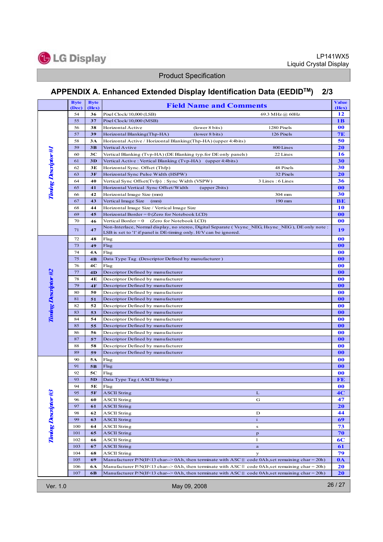

### **APPENDIX A. Enhanced Extended Display Identification Data (EEDIDTM) 2/3**

|                             | <b>Byte</b><br>(Dec)  | <b>Byte</b><br>(Hex) | <b>Field Name and Comments</b>                                                                                                                                                                                           | <b>Value</b><br>(Hex) |  |  |  |
|-----------------------------|-----------------------|----------------------|--------------------------------------------------------------------------------------------------------------------------------------------------------------------------------------------------------------------------|-----------------------|--|--|--|
| <b>Turing Descriptor #1</b> | 54                    | 36                   | Pixel Clock/10,000 (LSB)<br>69.3 MHz @ 60Hz                                                                                                                                                                              | 12                    |  |  |  |
|                             | 55                    | 37                   | Pixel Clock/10,000 (MSB)                                                                                                                                                                                                 | 1 <sub>B</sub>        |  |  |  |
|                             | 56                    | 38                   | Horizontal Active<br>(lower 8 bits)<br>1280 Pixels                                                                                                                                                                       | 00                    |  |  |  |
|                             | 57                    | 39                   | Horizontal Blanking(Thp-HA)<br>(lower 8 bits)<br>126 Pixels                                                                                                                                                              | 7E                    |  |  |  |
|                             | 58                    | 3A                   | Horizontal Active / Horizontal Blanking(Thp-HA) (upper 4:4bits)                                                                                                                                                          | 50                    |  |  |  |
|                             | 59                    | 3B                   | Vertical Avtive<br>800 Lines                                                                                                                                                                                             | 20                    |  |  |  |
|                             | 60                    | 3C                   | Vertical Blanking (Tvp-HA) (DE Blanking typ.for DE only panels)<br>22 Lines                                                                                                                                              | 16                    |  |  |  |
|                             | 61                    | 3D                   | Vertical Active : Vertical Blanking (Tvp-HA) (upper 4:4bits)                                                                                                                                                             | 30                    |  |  |  |
|                             | 62                    | 3E                   | 48 Pixels<br>Horizontal Sync. Offset (Thfp)                                                                                                                                                                              | 30                    |  |  |  |
|                             | 63                    | 3F                   | 32 Pixels<br>Horizontal Sync Pulse Width (HSPW)                                                                                                                                                                          | <b>20</b>             |  |  |  |
|                             | 64                    | 40                   | Vertical Sync Offset(Tvfp): Sync Width (VSPW)<br>3 Lines: 6 Lines                                                                                                                                                        | 36                    |  |  |  |
|                             | 65                    | 41                   | Horizontal Vertical Sync Offset/Width<br>(upper 2bits)                                                                                                                                                                   | 00                    |  |  |  |
|                             | 66                    | 42                   | Horizontal Image Size (mm)<br>304 mm                                                                                                                                                                                     | 30                    |  |  |  |
|                             | 67                    | 43                   | Vertical Image Size<br>190 mm<br>(mm)                                                                                                                                                                                    | BE                    |  |  |  |
|                             | 68                    | 44                   | Horizontal Image Size / Vertical Image Size                                                                                                                                                                              | 10                    |  |  |  |
|                             | 69                    | 45                   | Horizontal Border = $0$ (Zero for Notebook LCD)                                                                                                                                                                          | 00                    |  |  |  |
|                             | 70                    | 46                   | (Zero for Notebook LCD)<br>Vertical Border $= 0$                                                                                                                                                                         | 00                    |  |  |  |
|                             | 71                    | 47                   | Non-Interlace, Normal display, no stereo, Digital Separate (Vsync NEG, Hsync NEG), DE only note:<br>LSB is set to '1' if panel is DE-timing only. H/V can be ignored.                                                    | 19                    |  |  |  |
|                             | 72                    | 48                   | Flag                                                                                                                                                                                                                     | 00                    |  |  |  |
|                             | 73                    | 49                   | Flag                                                                                                                                                                                                                     | 00                    |  |  |  |
|                             | 74                    | 4A                   | Flag                                                                                                                                                                                                                     | 00                    |  |  |  |
|                             | 75                    | 4B                   | Data Type Tag (Descriptor Defined by manufacturer)                                                                                                                                                                       | 00                    |  |  |  |
|                             | 76                    | 4C                   | Flag                                                                                                                                                                                                                     | 00                    |  |  |  |
|                             | 77                    | 4 <sub>D</sub>       | Descriptor Defined by manufacturer                                                                                                                                                                                       | 00                    |  |  |  |
|                             | 78                    | 4E                   | Descriptor Defined by manufacturer                                                                                                                                                                                       | 00                    |  |  |  |
|                             | 79                    | 4F                   | Descriptor Defined by manufacturer                                                                                                                                                                                       | 00                    |  |  |  |
|                             | 80                    | 50                   | Descriptor Defined by manufacturer                                                                                                                                                                                       | 00                    |  |  |  |
|                             | 81                    | 51                   | Descriptor Defined by manufacturer                                                                                                                                                                                       | 00                    |  |  |  |
| <b>Timing Descriptor #2</b> | 82                    | 52                   | Descriptor Defined by manufacturer                                                                                                                                                                                       | 00                    |  |  |  |
|                             | 83                    | 53                   | Descriptor Defined by manufacturer                                                                                                                                                                                       | 00                    |  |  |  |
|                             | 84<br>85              | 54                   | Descriptor Defined by manufacturer                                                                                                                                                                                       | 00                    |  |  |  |
|                             | 86                    | 55<br>56             | Descriptor Defined by manufacturer<br>Descriptor Defined by manufacturer                                                                                                                                                 | 00<br>00              |  |  |  |
|                             | 87                    | 57                   | Descriptor Defined by manufacturer                                                                                                                                                                                       | 00                    |  |  |  |
|                             | 88                    | 58                   | Descriptor Defined by manufacturer                                                                                                                                                                                       | 00                    |  |  |  |
|                             | 89                    | 59                   | Descriptor Defined by manufacturer                                                                                                                                                                                       | 00                    |  |  |  |
|                             | 90                    | 5Α                   | Flag                                                                                                                                                                                                                     | 00                    |  |  |  |
| Timing Descriptor #3        | 91                    | 5B                   | Flag                                                                                                                                                                                                                     | 00                    |  |  |  |
|                             | 92                    | 5C                   | Flag                                                                                                                                                                                                                     | 00                    |  |  |  |
|                             | 93                    | 5 <sub>D</sub>       | Data Type Tag (ASCII String)                                                                                                                                                                                             | FE                    |  |  |  |
|                             | 94                    | 5E                   | Flag                                                                                                                                                                                                                     | 00                    |  |  |  |
|                             | 95                    | 5F                   | <b>ASCII String</b><br>L                                                                                                                                                                                                 | 4 <sub>C</sub>        |  |  |  |
|                             | 96                    | 60                   | <b>ASCII String</b><br>G                                                                                                                                                                                                 | 47                    |  |  |  |
|                             | 97                    | 61                   | <b>ASCII String</b>                                                                                                                                                                                                      | <b>20</b>             |  |  |  |
|                             | 98                    | 62                   | <b>ASCII String</b><br>D                                                                                                                                                                                                 | 44                    |  |  |  |
|                             | 99                    | 63                   | ASCII String<br>$\mathbf{i}$                                                                                                                                                                                             | 69                    |  |  |  |
|                             | 100                   | 64                   | ASCII String<br>s                                                                                                                                                                                                        | 73                    |  |  |  |
|                             | 101                   | 65                   | <b>ASCII String</b><br>$\mathbf{p}$                                                                                                                                                                                      | 70                    |  |  |  |
|                             | 102                   | 66                   | <b>ASCII String</b><br>1                                                                                                                                                                                                 | 6C                    |  |  |  |
|                             | 103                   | 67                   | ASCII String<br>$\bf a$                                                                                                                                                                                                  | 61                    |  |  |  |
|                             | 104                   | 68                   | <b>ASCII String</b><br>У                                                                                                                                                                                                 | 79                    |  |  |  |
|                             | 105<br>106            | 69<br>6A             | Manufacturer $P/N(If \le 13 \text{ char} \ge 0$ Ah, then terminate with ASC    code 0Ah, set remaining char = 20h)<br>Manufacturer P/N(If<13 char--> 0Ah, then terminate with ASC    code 0Ah, set remaining char = 20h) | $0\text{A}$<br>20     |  |  |  |
|                             | 107                   | 6B                   | Manufacturer P/N(If<13 char--> 0Ah, then terminate with ASC    code 0Ah, set remaining char = 20h)                                                                                                                       | 20                    |  |  |  |
|                             |                       |                      |                                                                                                                                                                                                                          |                       |  |  |  |
| Ver. 1.0                    | 26/27<br>May 09, 2008 |                      |                                                                                                                                                                                                                          |                       |  |  |  |